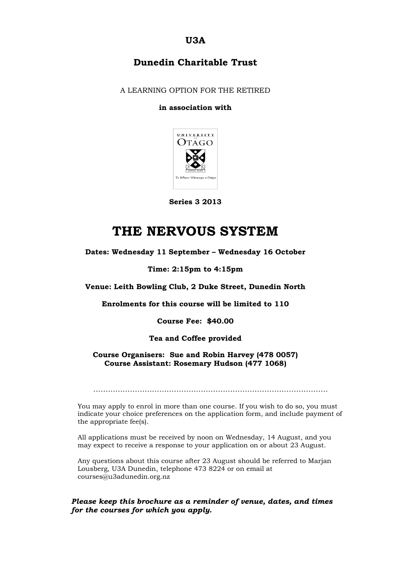**U3A**

# **Dunedin Charitable Trust**

A LEARNING OPTION FOR THE RETIRED

#### **in association with**



**Series 3 2013**

# **THE NERVOUS SYSTEM**

**Dates: Wednesday 11 September – Wednesday 16 October**

#### **Time: 2:15pm to 4:15pm**

**Venue: Leith Bowling Club, 2 Duke Street, Dunedin North**

**Enrolments for this course will be limited to 110**

**Course Fee: \$40.00**

#### **Tea and Coffee provided**

#### **Course Organisers: Sue and Robin Harvey (478 0057) Course Assistant: Rosemary Hudson (477 1068)**

……………………………………………………………………………………

You may apply to enrol in more than one course. If you wish to do so, you must indicate your choice preferences on the application form, and include payment of the appropriate fee(s).

All applications must be received by noon on Wednesday, 14 August, and you may expect to receive a response to your application on or about 23 August.

Any questions about this course after 23 August should be referred to Marjan Lousberg, U3A Dunedin, telephone 473 8224 or on email at courses@u3adunedin.org.nz

#### *Please keep this brochure as a reminder of venue, dates, and times for the courses for which you apply.*